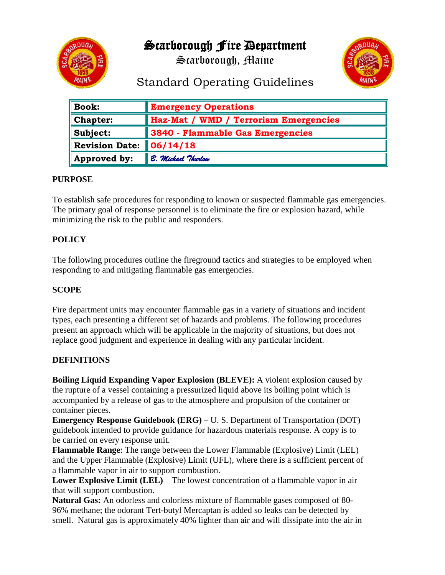

Scarborough Fire Department

Scarborough, Maine



# Standard Operating Guidelines

| <b>Book:</b>          | <b>Emergency Operations</b>           |
|-----------------------|---------------------------------------|
| <b>Chapter:</b>       | Haz-Mat / WMD / Terrorism Emergencies |
| Subject:              | 3840 - Flammable Gas Emergencies      |
| <b>Revision Date:</b> | 06/14/18                              |
| Approved by:          | B. Michael Thurlow                    |

## **PURPOSE**

To establish safe procedures for responding to known or suspected flammable gas emergencies. The primary goal of response personnel is to eliminate the fire or explosion hazard, while minimizing the risk to the public and responders.

# **POLICY**

The following procedures outline the fireground tactics and strategies to be employed when responding to and mitigating flammable gas emergencies.

## **SCOPE**

Fire department units may encounter flammable gas in a variety of situations and incident types, each presenting a different set of hazards and problems. The following procedures present an approach which will be applicable in the majority of situations, but does not replace good judgment and experience in dealing with any particular incident.

## **DEFINITIONS**

**Boiling Liquid Expanding Vapor Explosion (BLEVE):** A violent explosion caused by the rupture of a vessel containing a pressurized liquid above its boiling point which is accompanied by a release of gas to the atmosphere and propulsion of the container or container pieces.

**Emergency Response Guidebook (ERG)** – U. S. Department of Transportation (DOT) guidebook intended to provide guidance for hazardous materials response. A copy is to be carried on every response unit.

**Flammable Range**: The range between the Lower Flammable (Explosive) Limit (LEL) and the Upper Flammable (Explosive) Limit (UFL), where there is a sufficient percent of a flammable vapor in air to support combustion.

**Lower Explosive Limit (LEL)** – The lowest concentration of a flammable vapor in air that will support combustion.

**Natural Gas:** An odorless and colorless mixture of flammable gases composed of 80- 96% methane; the odorant Tert-butyl Mercaptan is added so leaks can be detected by smell. Natural gas is approximately 40% lighter than air and will dissipate into the air in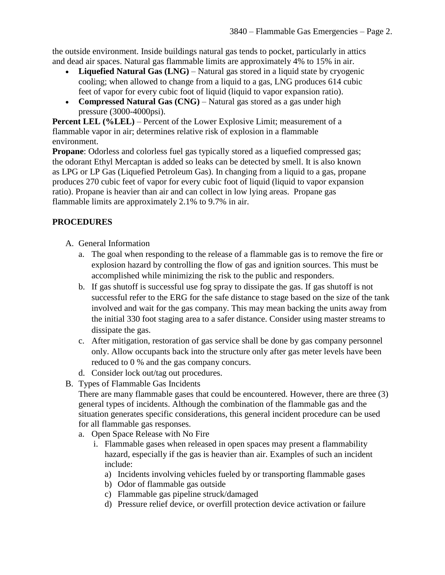the outside environment. Inside buildings natural gas tends to pocket, particularly in attics and dead air spaces. Natural gas flammable limits are approximately 4% to 15% in air.

- **Liquefied Natural Gas (LNG)** Natural gas stored in a liquid state by cryogenic cooling; when allowed to change from a liquid to a gas, LNG produces 614 cubic feet of vapor for every cubic foot of liquid (liquid to vapor expansion ratio).
- **Compressed Natural Gas (CNG)** Natural gas stored as a gas under high pressure (3000-4000psi).

**Percent LEL (%LEL)** – Percent of the Lower Explosive Limit; measurement of a flammable vapor in air; determines relative risk of explosion in a flammable environment.

**Propane:** Odorless and colorless fuel gas typically stored as a liquefied compressed gas; the odorant Ethyl Mercaptan is added so leaks can be detected by smell. It is also known as LPG or LP Gas (Liquefied Petroleum Gas). In changing from a liquid to a gas, propane produces 270 cubic feet of vapor for every cubic foot of liquid (liquid to vapor expansion ratio). Propane is heavier than air and can collect in low lying areas. Propane gas flammable limits are approximately 2.1% to 9.7% in air.

# **PROCEDURES**

- A. General Information
	- a. The goal when responding to the release of a flammable gas is to remove the fire or explosion hazard by controlling the flow of gas and ignition sources. This must be accomplished while minimizing the risk to the public and responders.
	- b. If gas shutoff is successful use fog spray to dissipate the gas. If gas shutoff is not successful refer to the ERG for the safe distance to stage based on the size of the tank involved and wait for the gas company. This may mean backing the units away from the initial 330 foot staging area to a safer distance. Consider using master streams to dissipate the gas.
	- c. After mitigation, restoration of gas service shall be done by gas company personnel only. Allow occupants back into the structure only after gas meter levels have been reduced to 0 % and the gas company concurs.
	- d. Consider lock out/tag out procedures.
- B. Types of Flammable Gas Incidents

There are many flammable gases that could be encountered. However, there are three (3) general types of incidents. Although the combination of the flammable gas and the situation generates specific considerations, this general incident procedure can be used for all flammable gas responses.

- a. Open Space Release with No Fire
	- i. Flammable gases when released in open spaces may present a flammability hazard, especially if the gas is heavier than air. Examples of such an incident include:
		- a) Incidents involving vehicles fueled by or transporting flammable gases
		- b) Odor of flammable gas outside
		- c) Flammable gas pipeline struck/damaged
		- d) Pressure relief device, or overfill protection device activation or failure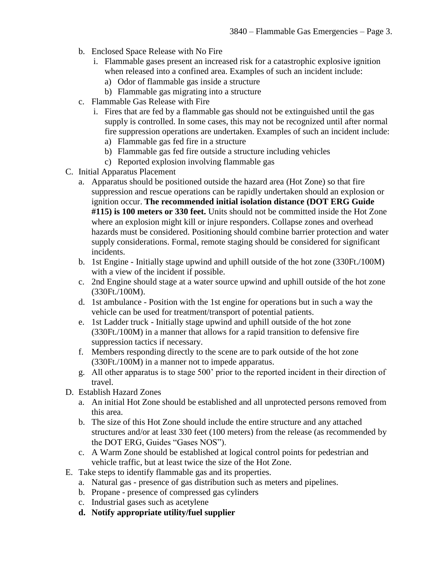- b. Enclosed Space Release with No Fire
	- i. Flammable gases present an increased risk for a catastrophic explosive ignition when released into a confined area. Examples of such an incident include:
		- a) Odor of flammable gas inside a structure
		- b) Flammable gas migrating into a structure
- c. Flammable Gas Release with Fire
	- i. Fires that are fed by a flammable gas should not be extinguished until the gas supply is controlled. In some cases, this may not be recognized until after normal fire suppression operations are undertaken. Examples of such an incident include: a) Flammable gas fed fire in a structure
		- b) Flammable gas fed fire outside a structure including vehicles
		- c) Reported explosion involving flammable gas
- C. Initial Apparatus Placement
	- a. Apparatus should be positioned outside the hazard area (Hot Zone) so that fire suppression and rescue operations can be rapidly undertaken should an explosion or ignition occur. **The recommended initial isolation distance (DOT ERG Guide #115) is 100 meters or 330 feet.** Units should not be committed inside the Hot Zone where an explosion might kill or injure responders. Collapse zones and overhead hazards must be considered. Positioning should combine barrier protection and water supply considerations. Formal, remote staging should be considered for significant incidents.
	- b. 1st Engine Initially stage upwind and uphill outside of the hot zone (330Ft./100M) with a view of the incident if possible.
	- c. 2nd Engine should stage at a water source upwind and uphill outside of the hot zone (330Ft./100M).
	- d. 1st ambulance Position with the 1st engine for operations but in such a way the vehicle can be used for treatment/transport of potential patients.
	- e. 1st Ladder truck Initially stage upwind and uphill outside of the hot zone (330Ft./100M) in a manner that allows for a rapid transition to defensive fire suppression tactics if necessary.
	- f. Members responding directly to the scene are to park outside of the hot zone (330Ft./100M) in a manner not to impede apparatus.
	- g. All other apparatus is to stage 500' prior to the reported incident in their direction of travel.
- D. Establish Hazard Zones
	- a. An initial Hot Zone should be established and all unprotected persons removed from this area.
	- b. The size of this Hot Zone should include the entire structure and any attached structures and/or at least 330 feet (100 meters) from the release (as recommended by the DOT ERG, Guides "Gases NOS").
	- c. A Warm Zone should be established at logical control points for pedestrian and vehicle traffic, but at least twice the size of the Hot Zone.
- E. Take steps to identify flammable gas and its properties.
	- a. Natural gas presence of gas distribution such as meters and pipelines.
	- b. Propane presence of compressed gas cylinders
	- c. Industrial gases such as acetylene
	- **d. Notify appropriate utility/fuel supplier**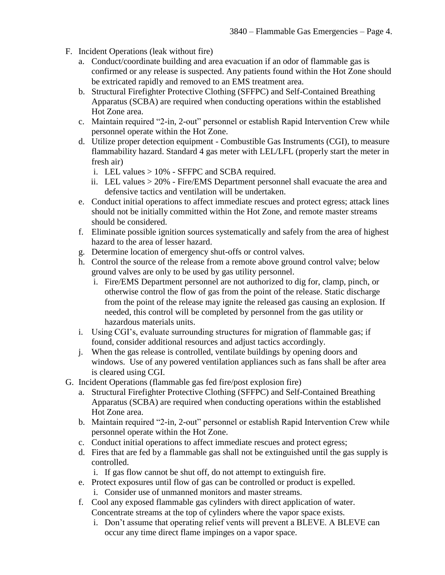- F. Incident Operations (leak without fire)
	- a. Conduct/coordinate building and area evacuation if an odor of flammable gas is confirmed or any release is suspected. Any patients found within the Hot Zone should be extricated rapidly and removed to an EMS treatment area.
	- b. Structural Firefighter Protective Clothing (SFFPC) and Self-Contained Breathing Apparatus (SCBA) are required when conducting operations within the established Hot Zone area.
	- c. Maintain required "2-in, 2-out" personnel or establish Rapid Intervention Crew while personnel operate within the Hot Zone.
	- d. Utilize proper detection equipment Combustible Gas Instruments (CGI), to measure flammability hazard. Standard 4 gas meter with LEL/LFL (properly start the meter in fresh air)
		- i. LEL values > 10% SFFPC and SCBA required.
		- ii. LEL values > 20% Fire/EMS Department personnel shall evacuate the area and defensive tactics and ventilation will be undertaken.
	- e. Conduct initial operations to affect immediate rescues and protect egress; attack lines should not be initially committed within the Hot Zone, and remote master streams should be considered.
	- f. Eliminate possible ignition sources systematically and safely from the area of highest hazard to the area of lesser hazard.
	- g. Determine location of emergency shut-offs or control valves.
	- h. Control the source of the release from a remote above ground control valve; below ground valves are only to be used by gas utility personnel.
		- i. Fire/EMS Department personnel are not authorized to dig for, clamp, pinch, or otherwise control the flow of gas from the point of the release. Static discharge from the point of the release may ignite the released gas causing an explosion. If needed, this control will be completed by personnel from the gas utility or hazardous materials units.
	- i. Using CGI's, evaluate surrounding structures for migration of flammable gas; if found, consider additional resources and adjust tactics accordingly.
	- j. When the gas release is controlled, ventilate buildings by opening doors and windows. Use of any powered ventilation appliances such as fans shall be after area is cleared using CGI.
- G. Incident Operations (flammable gas fed fire/post explosion fire)
	- a. Structural Firefighter Protective Clothing (SFFPC) and Self-Contained Breathing Apparatus (SCBA) are required when conducting operations within the established Hot Zone area.
	- b. Maintain required "2-in, 2-out" personnel or establish Rapid Intervention Crew while personnel operate within the Hot Zone.
	- c. Conduct initial operations to affect immediate rescues and protect egress;
	- d. Fires that are fed by a flammable gas shall not be extinguished until the gas supply is controlled.
		- i. If gas flow cannot be shut off, do not attempt to extinguish fire.
	- e. Protect exposures until flow of gas can be controlled or product is expelled.
		- i. Consider use of unmanned monitors and master streams.
	- f. Cool any exposed flammable gas cylinders with direct application of water. Concentrate streams at the top of cylinders where the vapor space exists.
		- i. Don't assume that operating relief vents will prevent a BLEVE. A BLEVE can occur any time direct flame impinges on a vapor space.